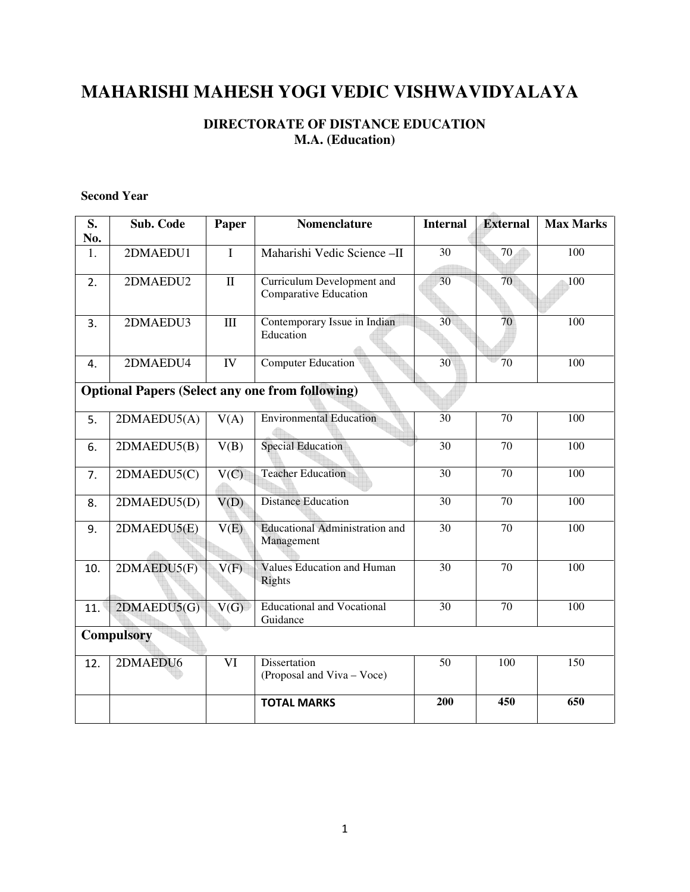# **MAHARISHI MAHESH YOGI VEDIC VISHWAVIDYALAYA**

## **DIRECTORATE OF DISTANCE EDUCATION M.A. (Education)**

## **Second Year**

| S.                                                     | Sub. Code   | Paper        | <b>Nomenclature</b>                                 | <b>Internal</b> | <b>External</b> | <b>Max Marks</b> |
|--------------------------------------------------------|-------------|--------------|-----------------------------------------------------|-----------------|-----------------|------------------|
| No.                                                    |             |              |                                                     |                 |                 |                  |
| 1.                                                     | 2DMAEDU1    | $\mathbf I$  | Maharishi Vedic Science-II                          | 30              | 70              | 100              |
| 2.                                                     | 2DMAEDU2    | $\mathbf{I}$ | Curriculum Development and<br>Comparative Education | 30              | 70              | 100              |
| 3.                                                     | 2DMAEDU3    | III          | Contemporary Issue in Indian<br>Education           | 30 <sup>°</sup> | 70              | 100              |
| 4.                                                     | 2DMAEDU4    | IV           | <b>Computer Education</b>                           | 30              | 70              | 100              |
| <b>Optional Papers (Select any one from following)</b> |             |              |                                                     |                 |                 |                  |
| 5.                                                     | 2DMAEDU5(A) | V(A)         | <b>Environmental Education</b>                      | 30              | 70              | 100              |
| 6.                                                     | 2DMAEDU5(B) | V(B)         | <b>Special Education</b>                            | 30              | 70              | 100              |
| 7.                                                     | 2DMAEDU5(C) | V(C)         | <b>Teacher Education</b>                            | $\overline{30}$ | $\overline{70}$ | 100              |
| 8.                                                     | 2DMAEDU5(D) | V(D)         | <b>Distance Education</b>                           | $\overline{30}$ | $\overline{70}$ | 100              |
| 9.                                                     | 2DMAEDU5(E) | V(E)         | <b>Educational Administration and</b><br>Management | 30              | 70              | 100              |
| 10.                                                    | 2DMAEDU5(F) | V(F)         | <b>Values Education and Human</b><br>Rights         | 30              | 70              | 100              |
| 11.                                                    | 2DMAEDU5(G) | V(G)         | <b>Educational and Vocational</b><br>Guidance       | $\overline{30}$ | $\overline{70}$ | 100              |
| <b>Compulsory</b>                                      |             |              |                                                     |                 |                 |                  |
| 12.                                                    | 2DMAEDU6    | VI           | Dissertation<br>(Proposal and Viva – Voce)          | 50              | 100             | 150              |
|                                                        |             |              | <b>TOTAL MARKS</b>                                  | 200             | 450             | 650              |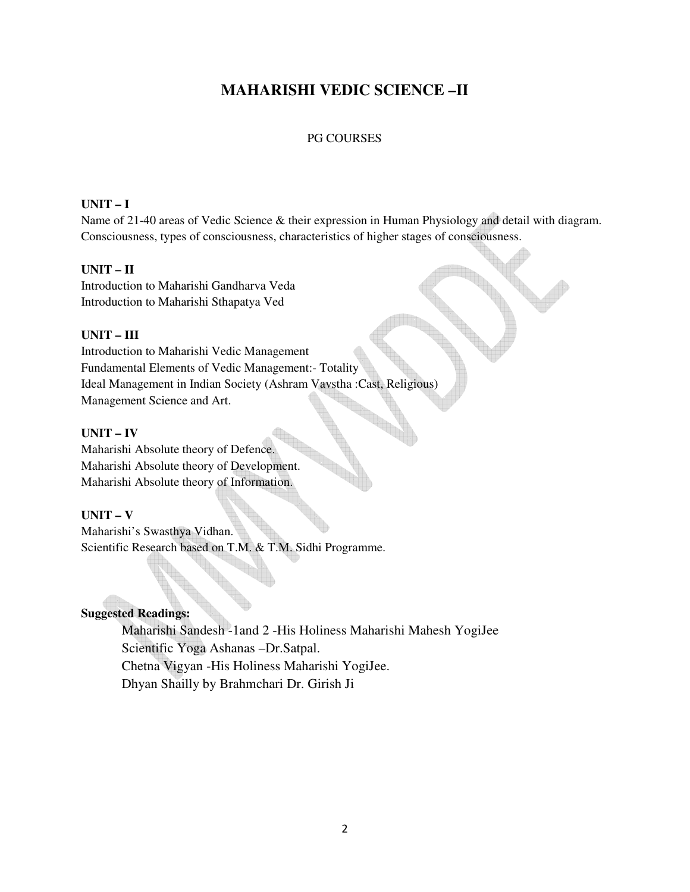# **MAHARISHI VEDIC SCIENCE –II**

## PG COURSES

#### **UNIT – I**

Name of 21-40 areas of Vedic Science & their expression in Human Physiology and detail with diagram. Consciousness, types of consciousness, characteristics of higher stages of consciousness.

#### **UNIT – II**

Introduction to Maharishi Gandharva Veda Introduction to Maharishi Sthapatya Ved

## **UNIT – III**

Introduction to Maharishi Vedic Management Fundamental Elements of Vedic Management:- Totality Ideal Management in Indian Society (Ashram Vavstha :Cast, Religious) Management Science and Art.

## **UNIT – IV**

Maharishi Absolute theory of Defence. Maharishi Absolute theory of Development. Maharishi Absolute theory of Information.

#### **UNIT – V**

Maharishi's Swasthya Vidhan. Scientific Research based on T.M. & T.M. Sidhi Programme.

## **Suggested Readings:**

Maharishi Sandesh -1and 2 -His Holiness Maharishi Mahesh YogiJee Scientific Yoga Ashanas –Dr.Satpal. Chetna Vigyan -His Holiness Maharishi YogiJee. Dhyan Shailly by Brahmchari Dr. Girish Ji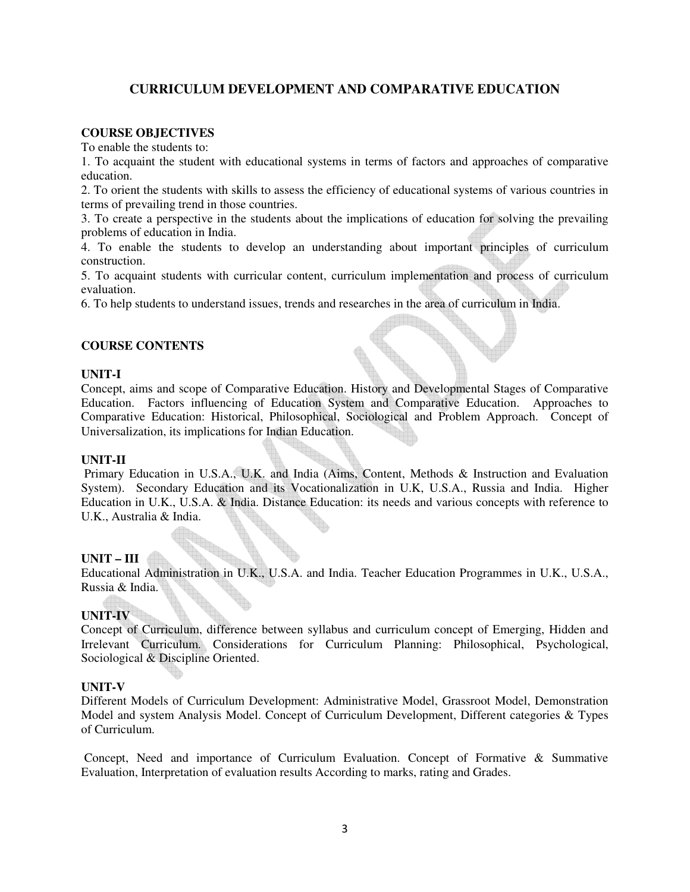## **CURRICULUM DEVELOPMENT AND COMPARATIVE EDUCATION**

## **COURSE OBJECTIVES**

To enable the students to:

1. To acquaint the student with educational systems in terms of factors and approaches of comparative education.

2. To orient the students with skills to assess the efficiency of educational systems of various countries in terms of prevailing trend in those countries.

3. To create a perspective in the students about the implications of education for solving the prevailing problems of education in India.

4. To enable the students to develop an understanding about important principles of curriculum construction.

5. To acquaint students with curricular content, curriculum implementation and process of curriculum evaluation.

6. To help students to understand issues, trends and researches in the area of curriculum in India.

#### **COURSE CONTENTS**

#### **UNIT-I**

Concept, aims and scope of Comparative Education. History and Developmental Stages of Comparative Education. Factors influencing of Education System and Comparative Education. Approaches to Comparative Education: Historical, Philosophical, Sociological and Problem Approach. Concept of Universalization, its implications for Indian Education.

#### **UNIT-II**

 Primary Education in U.S.A., U.K. and India (Aims, Content, Methods & Instruction and Evaluation System). Secondary Education and its Vocationalization in U.K, U.S.A., Russia and India. Higher Education in U.K., U.S.A. & India. Distance Education: its needs and various concepts with reference to U.K., Australia & India.

## **UNIT – III**

Educational Administration in U.K., U.S.A. and India. Teacher Education Programmes in U.K., U.S.A., Russia & India.

## **UNIT-IV**

Concept of Curriculum, difference between syllabus and curriculum concept of Emerging, Hidden and Irrelevant Curriculum. Considerations for Curriculum Planning: Philosophical, Psychological, Sociological & Discipline Oriented.

#### **UNIT-V**

Different Models of Curriculum Development: Administrative Model, Grassroot Model, Demonstration Model and system Analysis Model. Concept of Curriculum Development, Different categories & Types of Curriculum.

 Concept, Need and importance of Curriculum Evaluation. Concept of Formative & Summative Evaluation, Interpretation of evaluation results According to marks, rating and Grades.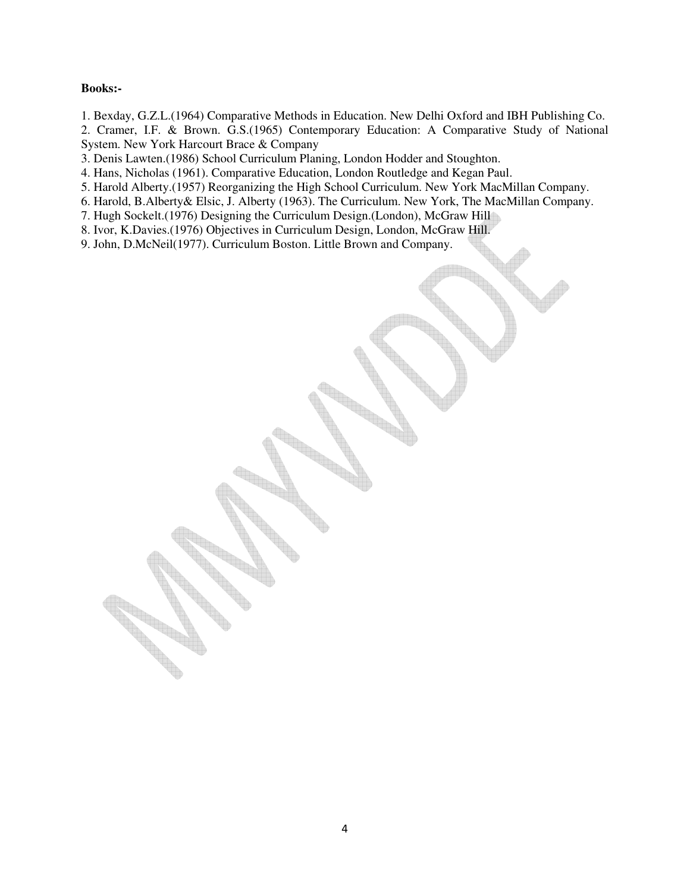#### **Books:-**

- 1. Bexday, G.Z.L.(1964) Comparative Methods in Education. New Delhi Oxford and IBH Publishing Co.
- 2. Cramer, I.F. & Brown. G.S.(1965) Contemporary Education: A Comparative Study of National System. New York Harcourt Brace & Company
- 3. Denis Lawten.(1986) School Curriculum Planing, London Hodder and Stoughton.
- 4. Hans, Nicholas (1961). Comparative Education, London Routledge and Kegan Paul.
- 5. Harold Alberty.(1957) Reorganizing the High School Curriculum. New York MacMillan Company.
- 6. Harold, B.Alberty& Elsic, J. Alberty (1963). The Curriculum. New York, The MacMillan Company.
- 7. Hugh Sockelt.(1976) Designing the Curriculum Design.(London), McGraw Hill
- 8. Ivor, K.Davies.(1976) Objectives in Curriculum Design, London, McGraw Hill.
- 9. John, D.McNeil(1977). Curriculum Boston. Little Brown and Company.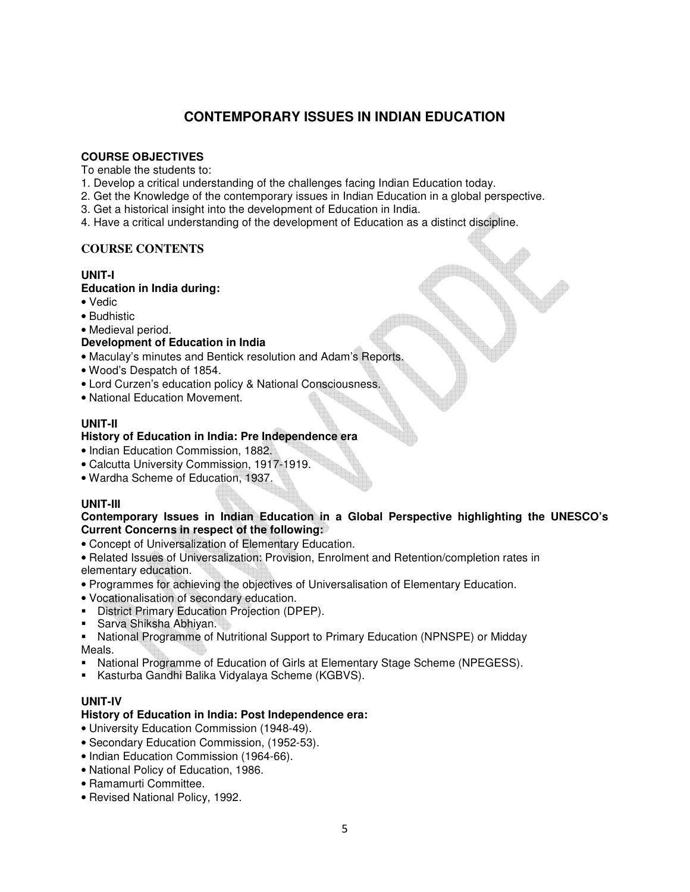## **CONTEMPORARY ISSUES IN INDIAN EDUCATION**

## **COURSE OBJECTIVES**

To enable the students to:

- 1. Develop a critical understanding of the challenges facing Indian Education today.
- 2. Get the Knowledge of the contemporary issues in Indian Education in a global perspective.
- 3. Get a historical insight into the development of Education in India.
- 4. Have a critical understanding of the development of Education as a distinct discipline.

## **COURSE CONTENTS**

## **UNIT-I**

## **Education in India during:**

- Vedic
- Budhistic
- Medieval period.

## **Development of Education in India**

- Maculay's minutes and Bentick resolution and Adam's Reports.
- Wood's Despatch of 1854.
- Lord Curzen's education policy & National Consciousness.
- National Education Movement.

## **UNIT-II**

## **History of Education in India: Pre Independence era**

- Indian Education Commission, 1882.
- Calcutta University Commission, 1917-1919.
- Wardha Scheme of Education, 1937.

## **UNIT-III**

## **Contemporary Issues in Indian Education in a Global Perspective highlighting the UNESCO's Current Concerns in respect of the following:**

- Concept of Universalization of Elementary Education.
- Related Issues of Universalization: Provision, Enrolment and Retention/completion rates in elementary education.
- Programmes for achieving the objectives of Universalisation of Elementary Education.
- Vocationalisation of secondary education.
- **-** District Primary Education Projection (DPEP).
- **Sarva Shiksha Abhiyan.**
- **National Programme of Nutritional Support to Primary Education (NPNSPE) or Midday** Meals.
- National Programme of Education of Girls at Elementary Stage Scheme (NPEGESS).
- Kasturba Gandhi Balika Vidyalaya Scheme (KGBVS).

## **UNIT-IV**

## **History of Education in India: Post Independence era:**

- University Education Commission (1948-49).
- Secondary Education Commission, (1952-53).
- Indian Education Commission (1964-66).
- National Policy of Education, 1986.
- Ramamurti Committee.
- Revised National Policy, 1992.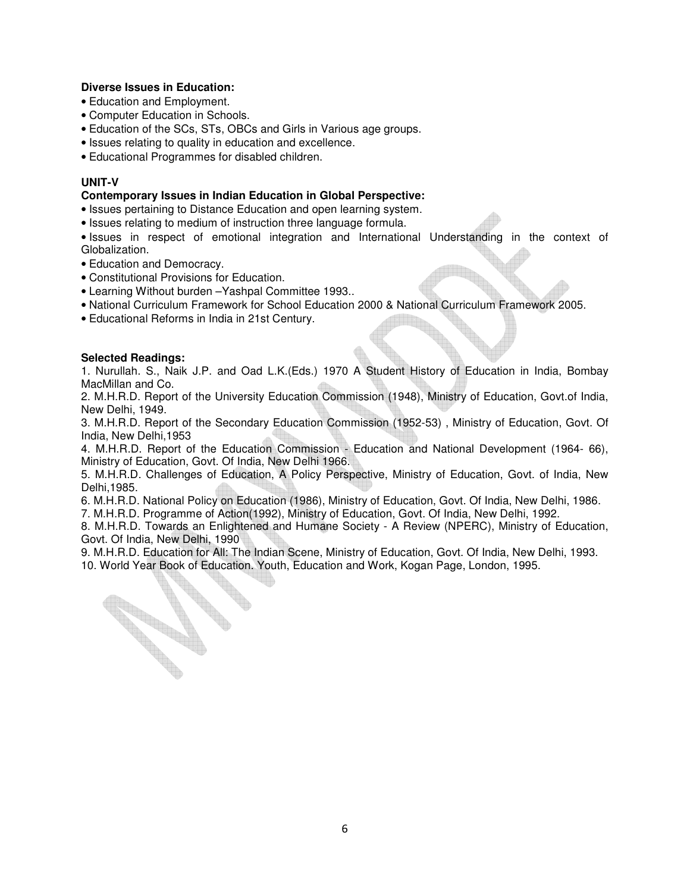#### **Diverse Issues in Education:**

- Education and Employment.
- Computer Education in Schools.
- Education of the SCs, STs, OBCs and Girls in Various age groups.
- Issues relating to quality in education and excellence.
- Educational Programmes for disabled children.

## **UNIT-V**

#### **Contemporary Issues in Indian Education in Global Perspective:**

- Issues pertaining to Distance Education and open learning system.
- Issues relating to medium of instruction three language formula.

• Issues in respect of emotional integration and International Understanding in the context of Globalization.

• Education and Democracy.

**Contract Contract Contract Contract Contract Contract Contract Contract Contract Contract Contract Contract C** 

- Constitutional Provisions for Education.
- Learning Without burden –Yashpal Committee 1993..
- National Curriculum Framework for School Education 2000 & National Curriculum Framework 2005.
- Educational Reforms in India in 21st Century.

#### **Selected Readings:**

1. Nurullah. S., Naik J.P. and Oad L.K.(Eds.) 1970 A Student History of Education in India, Bombay MacMillan and Co.

2. M.H.R.D. Report of the University Education Commission (1948), Ministry of Education, Govt.of India, New Delhi, 1949.

3. M.H.R.D. Report of the Secondary Education Commission (1952-53) , Ministry of Education, Govt. Of India, New Delhi,1953

4. M.H.R.D. Report of the Education Commission - Education and National Development (1964- 66), Ministry of Education, Govt. Of India, New Delhi 1966.

5. M.H.R.D. Challenges of Education, A Policy Perspective, Ministry of Education, Govt. of India, New Delhi,1985.

6. M.H.R.D. National Policy on Education (1986), Ministry of Education, Govt. Of India, New Delhi, 1986.

7. M.H.R.D. Programme of Action(1992), Ministry of Education, Govt. Of India, New Delhi, 1992.

8. M.H.R.D. Towards an Enlightened and Humane Society - A Review (NPERC), Ministry of Education, Govt. Of India, New Delhi, 1990

9. M.H.R.D. Education for All: The Indian Scene, Ministry of Education, Govt. Of India, New Delhi, 1993. 10. World Year Book of Education. Youth, Education and Work, Kogan Page, London, 1995.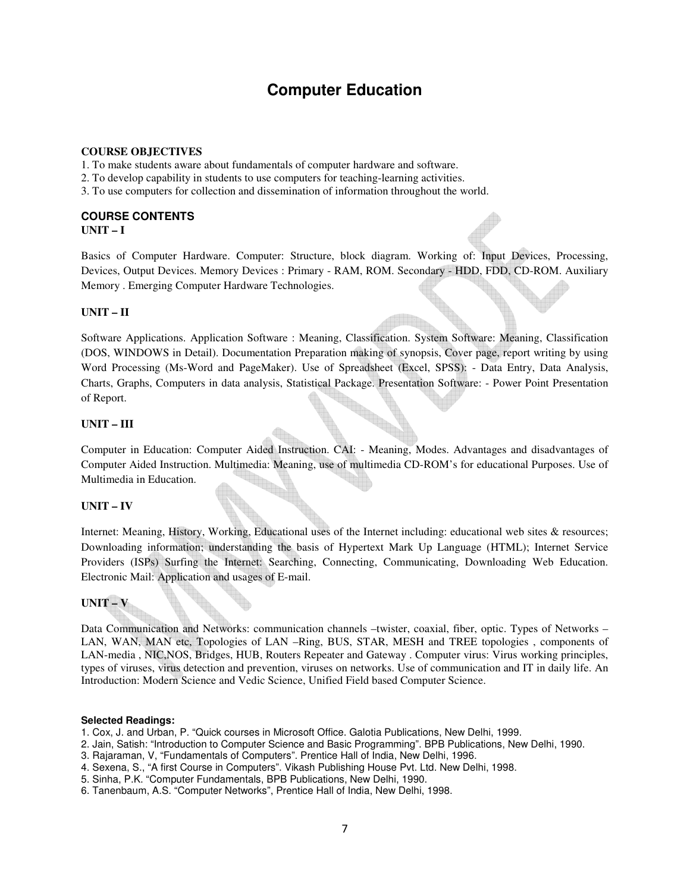# **Computer Education**

#### **COURSE OBJECTIVES**

- 1. To make students aware about fundamentals of computer hardware and software.
- 2. To develop capability in students to use computers for teaching-learning activities.
- 3. To use computers for collection and dissemination of information throughout the world.

#### **COURSE CONTENTS UNIT – I**

Basics of Computer Hardware. Computer: Structure, block diagram. Working of: Input Devices, Processing, Devices, Output Devices. Memory Devices : Primary - RAM, ROM. Secondary - HDD, FDD, CD-ROM. Auxiliary Memory . Emerging Computer Hardware Technologies.

#### **UNIT – II**

Software Applications. Application Software : Meaning, Classification. System Software: Meaning, Classification (DOS, WINDOWS in Detail). Documentation Preparation making of synopsis, Cover page, report writing by using Word Processing (Ms-Word and PageMaker). Use of Spreadsheet (Excel, SPSS): - Data Entry, Data Analysis, Charts, Graphs, Computers in data analysis, Statistical Package. Presentation Software: - Power Point Presentation of Report.

#### **UNIT – III**

Computer in Education: Computer Aided Instruction. CAI: - Meaning, Modes. Advantages and disadvantages of Computer Aided Instruction. Multimedia: Meaning, use of multimedia CD-ROM's for educational Purposes. Use of Multimedia in Education.

#### **UNIT – IV**

Internet: Meaning, History, Working, Educational uses of the Internet including: educational web sites & resources; Downloading information; understanding the basis of Hypertext Mark Up Language (HTML); Internet Service Providers (ISPs) Surfing the Internet: Searching, Connecting, Communicating, Downloading Web Education. Electronic Mail: Application and usages of E-mail.

#### **UNIT – V**

Data Communication and Networks: communication channels –twister, coaxial, fiber, optic. Types of Networks – LAN, WAN, MAN etc, Topologies of LAN –Ring, BUS, STAR, MESH and TREE topologies , components of LAN-media , NIC,NOS, Bridges, HUB, Routers Repeater and Gateway . Computer virus: Virus working principles, types of viruses, virus detection and prevention, viruses on networks. Use of communication and IT in daily life. An Introduction: Modern Science and Vedic Science, Unified Field based Computer Science.

#### **Selected Readings:**

- 1. Cox, J. and Urban, P. "Quick courses in Microsoft Office. Galotia Publications, New Delhi, 1999.
- 2. Jain, Satish: "Introduction to Computer Science and Basic Programming". BPB Publications, New Delhi, 1990.
- 3. Rajaraman, V, "Fundamentals of Computers". Prentice Hall of India, New Delhi, 1996.
- 4. Sexena, S., "A first Course in Computers". Vikash Publishing House Pvt. Ltd. New Delhi, 1998.
- 5. Sinha, P.K. "Computer Fundamentals, BPB Publications, New Delhi, 1990.
- 6. Tanenbaum, A.S. "Computer Networks", Prentice Hall of India, New Delhi, 1998.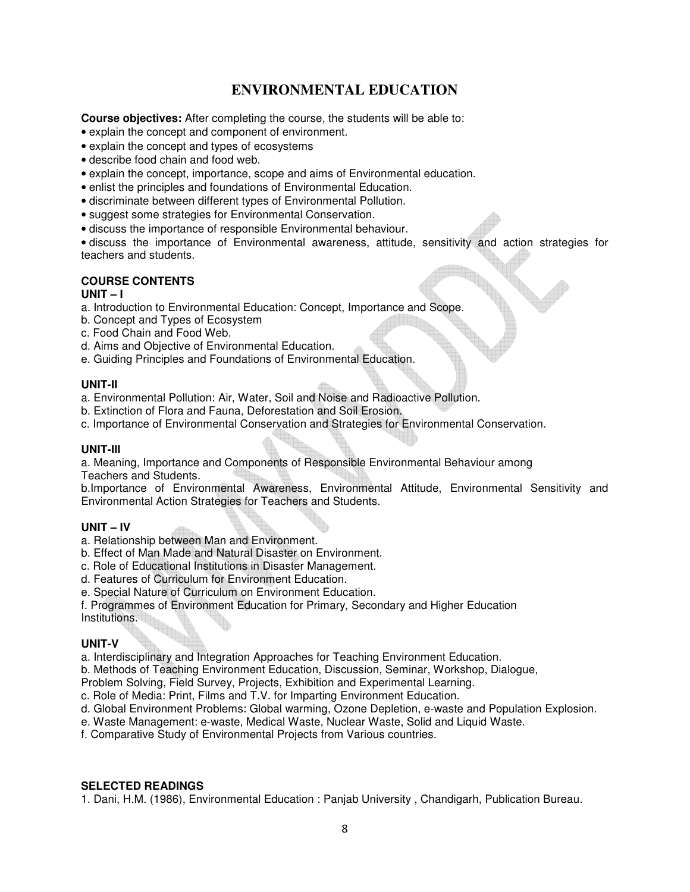## **ENVIRONMENTAL EDUCATION**

**Course objectives:** After completing the course, the students will be able to:

- explain the concept and component of environment.
- explain the concept and types of ecosystems
- describe food chain and food web.
- explain the concept, importance, scope and aims of Environmental education.
- enlist the principles and foundations of Environmental Education.
- discriminate between different types of Environmental Pollution.
- suggest some strategies for Environmental Conservation.
- discuss the importance of responsible Environmental behaviour.

• discuss the importance of Environmental awareness, attitude, sensitivity and action strategies for teachers and students.

## **COURSE CONTENTS**

#### **UNIT – I**

- a. Introduction to Environmental Education: Concept, Importance and Scope.
- b. Concept and Types of Ecosystem
- c. Food Chain and Food Web.
- d. Aims and Objective of Environmental Education.
- e. Guiding Principles and Foundations of Environmental Education.

## **UNIT-II**

- a. Environmental Pollution: Air, Water, Soil and Noise and Radioactive Pollution.
- b. Extinction of Flora and Fauna, Deforestation and Soil Erosion.
- c. Importance of Environmental Conservation and Strategies for Environmental Conservation.

#### **UNIT-III**

a. Meaning, Importance and Components of Responsible Environmental Behaviour among Teachers and Students.

b.Importance of Environmental Awareness, Environmental Attitude, Environmental Sensitivity and Environmental Action Strategies for Teachers and Students.

## **UNIT – IV**

- a. Relationship between Man and Environment.
- b. Effect of Man Made and Natural Disaster on Environment.
- c. Role of Educational Institutions in Disaster Management.
- d. Features of Curriculum for Environment Education.
- e. Special Nature of Curriculum on Environment Education.

f. Programmes of Environment Education for Primary, Secondary and Higher Education Institutions.

## **UNIT-V**

a. Interdisciplinary and Integration Approaches for Teaching Environment Education.

b. Methods of Teaching Environment Education, Discussion, Seminar, Workshop, Dialogue,

- Problem Solving, Field Survey, Projects, Exhibition and Experimental Learning.
- c. Role of Media: Print, Films and T.V. for Imparting Environment Education.
- d. Global Environment Problems: Global warming, Ozone Depletion, e-waste and Population Explosion.

e. Waste Management: e-waste, Medical Waste, Nuclear Waste, Solid and Liquid Waste.

f. Comparative Study of Environmental Projects from Various countries.

#### **SELECTED READINGS**

1. Dani, H.M. (1986), Environmental Education : Panjab University , Chandigarh, Publication Bureau.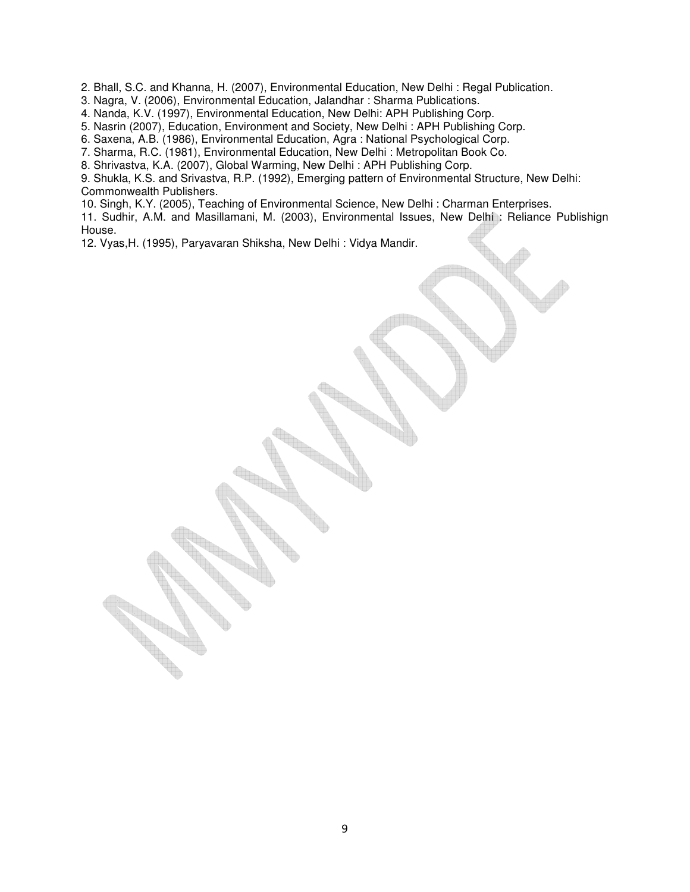2. Bhall, S.C. and Khanna, H. (2007), Environmental Education, New Delhi : Regal Publication.

3. Nagra, V. (2006), Environmental Education, Jalandhar : Sharma Publications.

4. Nanda, K.V. (1997), Environmental Education, New Delhi: APH Publishing Corp.

5. Nasrin (2007), Education, Environment and Society, New Delhi : APH Publishing Corp.

6. Saxena, A.B. (1986), Environmental Education, Agra : National Psychological Corp.

7. Sharma, R.C. (1981), Environmental Education, New Delhi : Metropolitan Book Co.

8. Shrivastva, K.A. (2007), Global Warming, New Delhi : APH Publishing Corp.

9. Shukla, K.S. and Srivastva, R.P. (1992), Emerging pattern of Environmental Structure, New Delhi: Commonwealth Publishers.

10. Singh, K.Y. (2005), Teaching of Environmental Science, New Delhi : Charman Enterprises.

11. Sudhir, A.M. and Masillamani, M. (2003), Environmental Issues, New Delhi : Reliance Publishign House.

12. Vyas,H. (1995), Paryavaran Shiksha, New Delhi : Vidya Mandir.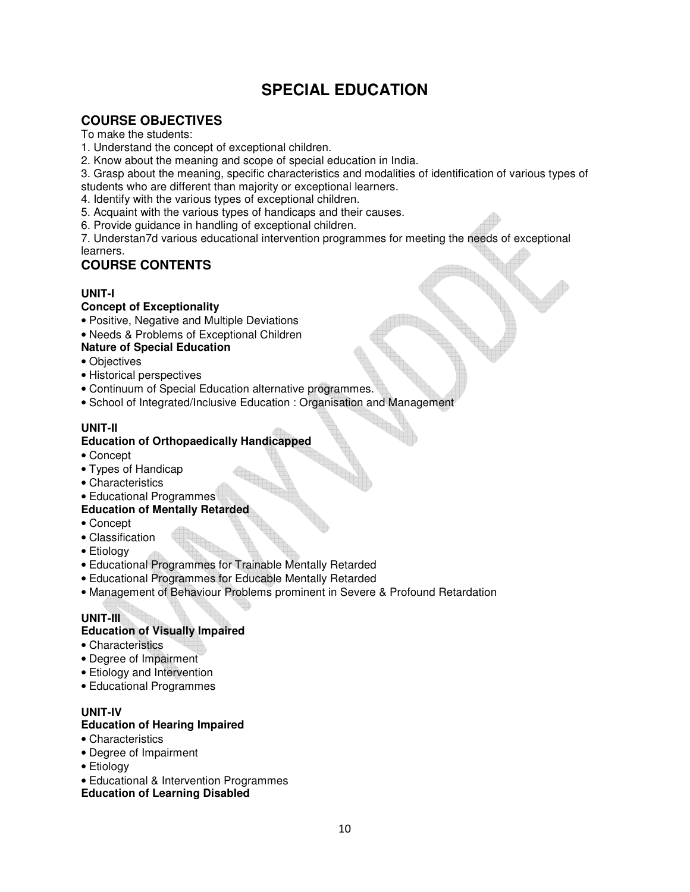# **SPECIAL EDUCATION**

## **COURSE OBJECTIVES**

To make the students:

- 1. Understand the concept of exceptional children.
- 2. Know about the meaning and scope of special education in India.
- 3. Grasp about the meaning, specific characteristics and modalities of identification of various types of
- students who are different than majority or exceptional learners.
- 4. Identify with the various types of exceptional children.
- 5. Acquaint with the various types of handicaps and their causes.
- 6. Provide guidance in handling of exceptional children.

7. Understan7d various educational intervention programmes for meeting the needs of exceptional learners.

## **COURSE CONTENTS**

## **UNIT-I**

## **Concept of Exceptionality**

- Positive, Negative and Multiple Deviations
- Needs & Problems of Exceptional Children
- **Nature of Special Education**
- Objectives
- Historical perspectives
- Continuum of Special Education alternative programmes.
- School of Integrated/Inclusive Education : Organisation and Management

## **UNIT-II**

## **Education of Orthopaedically Handicapped**

- Concept
- Types of Handicap
- Characteristics
- Educational Programmes

## **Education of Mentally Retarded**

- Concept
- Classification
- Etiology
- Educational Programmes for Trainable Mentally Retarded
- Educational Programmes for Educable Mentally Retarded
- Management of Behaviour Problems prominent in Severe & Profound Retardation

## **UNIT-III**

## **Education of Visually Impaired**

- Characteristics
- Degree of Impairment
- Etiology and Intervention
- Educational Programmes

## **UNIT-IV**

## **Education of Hearing Impaired**

- Characteristics
- Degree of Impairment
- Etiology
- Educational & Intervention Programmes

## **Education of Learning Disabled**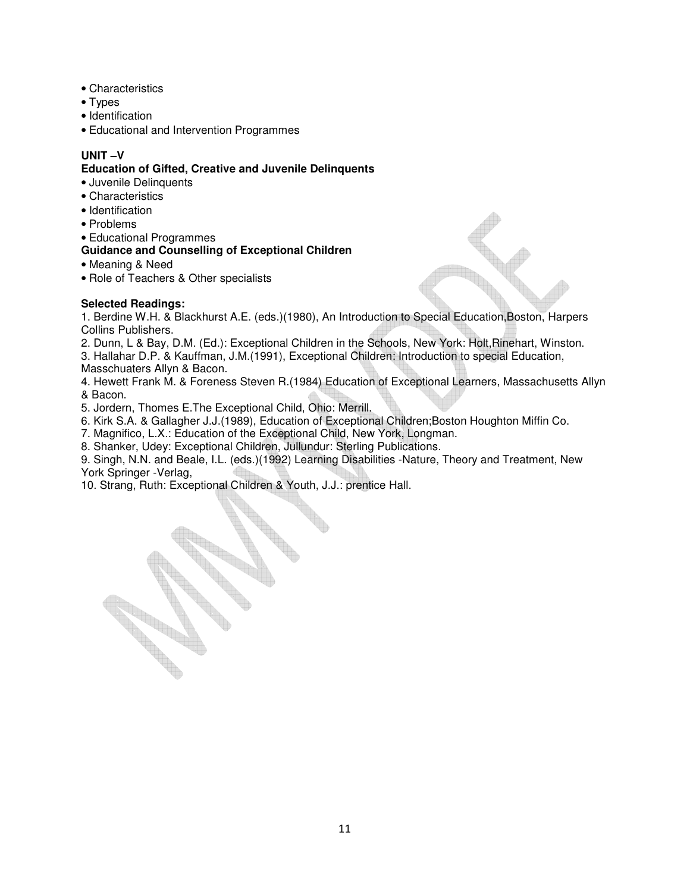- Characteristics
- Types
- Identification
- Educational and Intervention Programmes

## **UNIT –V**

#### **Education of Gifted, Creative and Juvenile Delinquents**

- Juvenile Delinquents
- Characteristics
- Identification
- Problems
- Educational Programmes

## **Guidance and Counselling of Exceptional Children**

- Meaning & Need
- Role of Teachers & Other specialists

## **Selected Readings:**

1. Berdine W.H. & Blackhurst A.E. (eds.)(1980), An Introduction to Special Education,Boston, Harpers Collins Publishers.

- 2. Dunn, L & Bay, D.M. (Ed.): Exceptional Children in the Schools, New York: Holt,Rinehart, Winston.
- 3. Hallahar D.P. & Kauffman, J.M.(1991), Exceptional Children: Introduction to special Education,
- Masschuaters Allyn & Bacon.

4. Hewett Frank M. & Foreness Steven R.(1984) Education of Exceptional Learners, Massachusetts Allyn & Bacon.

5. Jordern, Thomes E.The Exceptional Child, Ohio: Merrill.

6. Kirk S.A. & Gallagher J.J.(1989), Education of Exceptional Children;Boston Houghton Miffin Co.

7. Magnifico, L.X.: Education of the Exceptional Child, New York, Longman.

8. Shanker, Udey: Exceptional Children, Jullundur: Sterling Publications.

9. Singh, N.N. and Beale, I.L. (eds.)(1992) Learning Disabilities -Nature, Theory and Treatment, New York Springer -Verlag,

10. Strang, Ruth: Exceptional Children & Youth, J.J.: prentice Hall.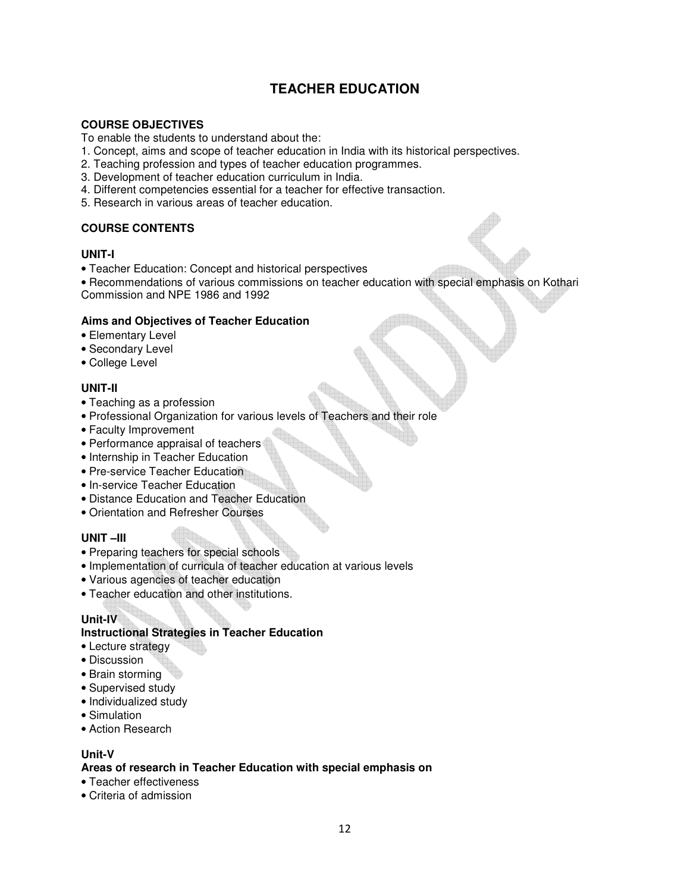## **TEACHER EDUCATION**

## **COURSE OBJECTIVES**

To enable the students to understand about the:

- 1. Concept, aims and scope of teacher education in India with its historical perspectives.
- 2. Teaching profession and types of teacher education programmes.
- 3. Development of teacher education curriculum in India.
- 4. Different competencies essential for a teacher for effective transaction.
- 5. Research in various areas of teacher education.

## **COURSE CONTENTS**

#### **UNIT-I**

• Teacher Education: Concept and historical perspectives

• Recommendations of various commissions on teacher education with special emphasis on Kothari Commission and NPE 1986 and 1992

#### **Aims and Objectives of Teacher Education**

- Elementary Level
- Secondary Level
- College Level

## **UNIT-II**

- Teaching as a profession
- Professional Organization for various levels of Teachers and their role
- Faculty Improvement
- Performance appraisal of teachers
- Internship in Teacher Education
- Pre-service Teacher Education
- In-service Teacher Education
- Distance Education and Teacher Education
- Orientation and Refresher Courses

## **UNIT –III**

- Preparing teachers for special schools
- Implementation of curricula of teacher education at various levels
- Various agencies of teacher education
- Teacher education and other institutions.

## **Unit-IV**

#### **Instructional Strategies in Teacher Education**

- Lecture strategy
- Discussion
- Brain storming
- Supervised study
- Individualized study
- Simulation
- Action Research

#### **Unit-V**

#### **Areas of research in Teacher Education with special emphasis on**

- Teacher effectiveness
- Criteria of admission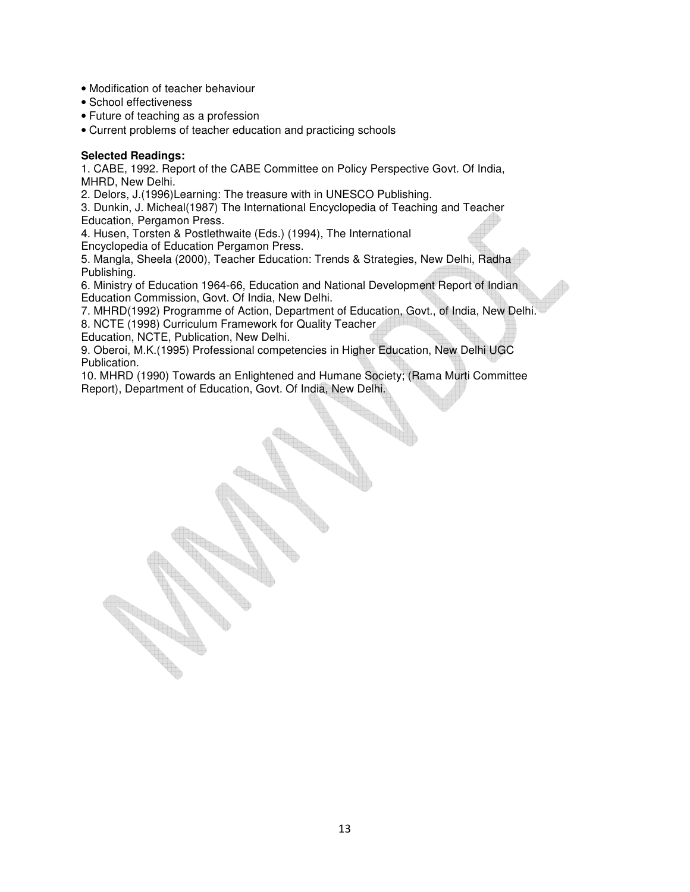- Modification of teacher behaviour
- School effectiveness
- Future of teaching as a profession
- Current problems of teacher education and practicing schools

#### **Selected Readings:**

1. CABE, 1992. Report of the CABE Committee on Policy Perspective Govt. Of India, MHRD, New Delhi.

2. Delors, J.(1996)Learning: The treasure with in UNESCO Publishing.

3. Dunkin, J. Micheal(1987) The International Encyclopedia of Teaching and Teacher Education, Pergamon Press.

4. Husen, Torsten & Postlethwaite (Eds.) (1994), The International

Encyclopedia of Education Pergamon Press.

5. Mangla, Sheela (2000), Teacher Education: Trends & Strategies, New Delhi, Radha Publishing.

6. Ministry of Education 1964-66, Education and National Development Report of Indian Education Commission, Govt. Of India, New Delhi.

7. MHRD(1992) Programme of Action, Department of Education, Govt., of India, New Delhi.

8. NCTE (1998) Curriculum Framework for Quality Teacher

Education, NCTE, Publication, New Delhi.

9. Oberoi, M.K.(1995) Professional competencies in Higher Education, New Delhi UGC Publication.

10. MHRD (1990) Towards an Enlightened and Humane Society; (Rama Murti Committee Report), Department of Education, Govt. Of India, New Delhi.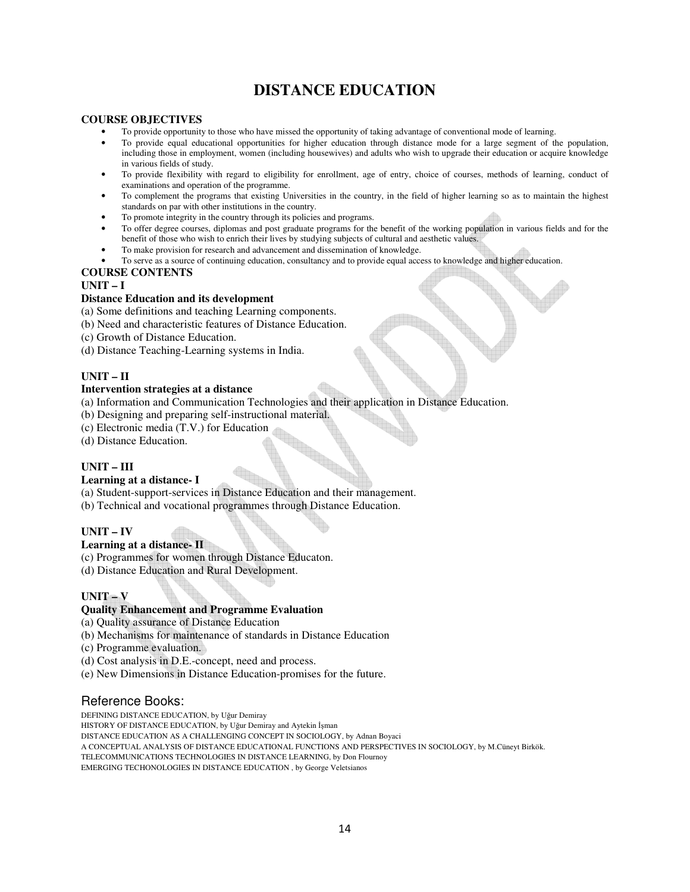# **DISTANCE EDUCATION**

#### **COURSE OBJECTIVES**

- To provide opportunity to those who have missed the opportunity of taking advantage of conventional mode of learning.
- To provide equal educational opportunities for higher education through distance mode for a large segment of the population, including those in employment, women (including housewives) and adults who wish to upgrade their education or acquire knowledge in various fields of study.
- To provide flexibility with regard to eligibility for enrollment, age of entry, choice of courses, methods of learning, conduct of examinations and operation of the programme.
- To complement the programs that existing Universities in the country, in the field of higher learning so as to maintain the highest standards on par with other institutions in the country.
- To promote integrity in the country through its policies and programs.
- To offer degree courses, diplomas and post graduate programs for the benefit of the working population in various fields and for the benefit of those who wish to enrich their lives by studying subjects of cultural and aesthetic values.
- To make provision for research and advancement and dissemination of knowledge.
- To serve as a source of continuing education, consultancy and to provide equal access to knowledge and higher education.

#### **COURSE CONTENTS**

#### **UNIT – I**

#### **Distance Education and its development**

- (a) Some definitions and teaching Learning components.
- (b) Need and characteristic features of Distance Education.
- (c) Growth of Distance Education.
- (d) Distance Teaching-Learning systems in India.

#### **UNIT – II**

#### **Intervention strategies at a distance**

- (a) Information and Communication Technologies and their application in Distance Education.
- (b) Designing and preparing self-instructional material.
- (c) Electronic media (T.V.) for Education
- (d) Distance Education.

#### **UNIT – III**

#### **Learning at a distance- I**

- (a) Student-support-services in Distance Education and their management.
- (b) Technical and vocational programmes through Distance Education.

#### **UNIT – IV**

#### **Learning at a distance- II**

- (c) Programmes for women through Distance Educaton.
- (d) Distance Education and Rural Development.

#### **UNIT – V**

#### **Quality Enhancement and Programme Evaluation**

(a) Quality assurance of Distance Education

- (b) Mechanisms for maintenance of standards in Distance Education
- (c) Programme evaluation.
- (d) Cost analysis in D.E.-concept, need and process.
- (e) New Dimensions in Distance Education-promises for the future.

## Reference Books:

DEFINING DISTANCE EDUCATION, by Uğur Demiray

HISTORY OF DISTANCE EDUCATION, by Uğur Demiray and Aytekin İşman

DISTANCE EDUCATION AS A CHALLENGING CONCEPT IN SOCIOLOGY, by Adnan Boyaci

A CONCEPTUAL ANALYSIS OF DISTANCE EDUCATIONAL FUNCTIONS AND PERSPECTIVES IN SOCIOLOGY, by M.Cüneyt Birkök.

TELECOMMUNICATIONS TECHNOLOGIES IN DISTANCE LEARNING, by Don Flournoy

EMERGING TECHONOLOGIES IN DISTANCE EDUCATION , by George Veletsianos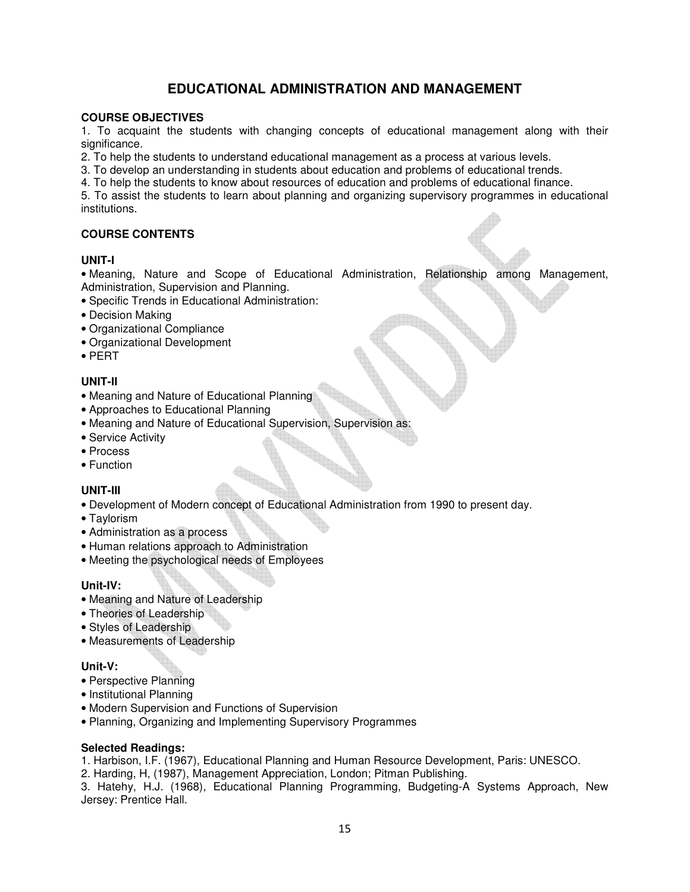## **EDUCATIONAL ADMINISTRATION AND MANAGEMENT**

## **COURSE OBJECTIVES**

1. To acquaint the students with changing concepts of educational management along with their significance.

2. To help the students to understand educational management as a process at various levels.

3. To develop an understanding in students about education and problems of educational trends.

4. To help the students to know about resources of education and problems of educational finance.

5. To assist the students to learn about planning and organizing supervisory programmes in educational institutions.

## **COURSE CONTENTS**

#### **UNIT-I**

• Meaning, Nature and Scope of Educational Administration, Relationship among Management, Administration, Supervision and Planning.

- Specific Trends in Educational Administration:
- Decision Making
- Organizational Compliance
- Organizational Development
- PERT

## **UNIT-II**

- Meaning and Nature of Educational Planning
- Approaches to Educational Planning
- Meaning and Nature of Educational Supervision, Supervision as:
- Service Activity
- Process
- Function

## **UNIT-III**

- Development of Modern concept of Educational Administration from 1990 to present day.
- Taylorism
- Administration as a process
- Human relations approach to Administration
- Meeting the psychological needs of Employees

## **Unit-IV:**

- Meaning and Nature of Leadership
- Theories of Leadership
- Styles of Leadership
- Measurements of Leadership

## **Unit-V:**

- Perspective Planning
- Institutional Planning
- Modern Supervision and Functions of Supervision
- Planning, Organizing and Implementing Supervisory Programmes

#### **Selected Readings:**

1. Harbison, I.F. (1967), Educational Planning and Human Resource Development, Paris: UNESCO.

2. Harding, H, (1987), Management Appreciation, London; Pitman Publishing.

3. Hatehy, H.J. (1968), Educational Planning Programming, Budgeting-A Systems Approach, New Jersey: Prentice Hall.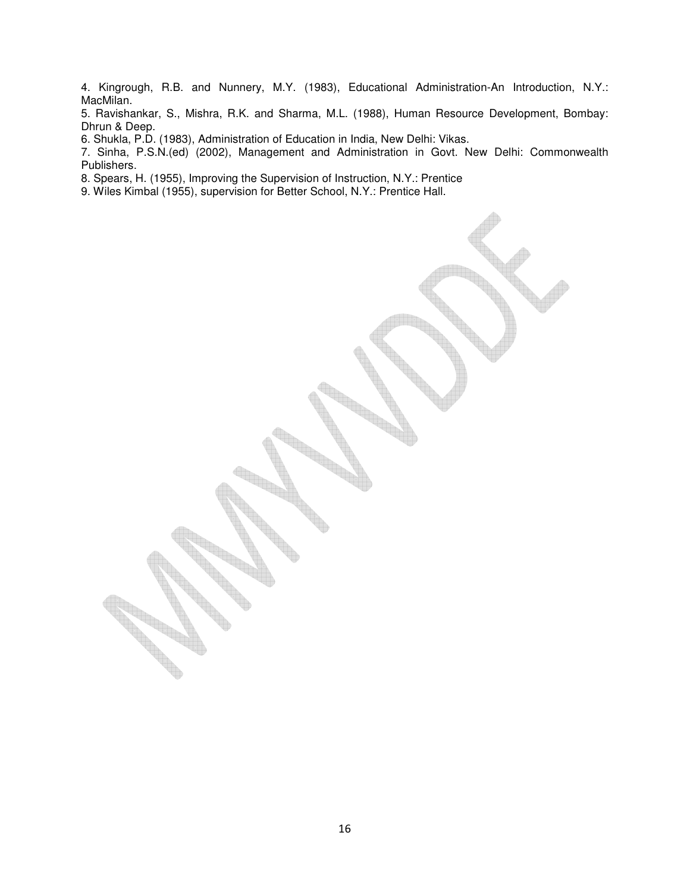4. Kingrough, R.B. and Nunnery, M.Y. (1983), Educational Administration-An Introduction, N.Y.: MacMilan.

5. Ravishankar, S., Mishra, R.K. and Sharma, M.L. (1988), Human Resource Development, Bombay: Dhrun & Deep.

6. Shukla, P.D. (1983), Administration of Education in India, New Delhi: Vikas.

7. Sinha, P.S.N.(ed) (2002), Management and Administration in Govt. New Delhi: Commonwealth Publishers.

8. Spears, H. (1955), Improving the Supervision of Instruction, N.Y.: Prentice

9. Wiles Kimbal (1955), supervision for Better School, N.Y.: Prentice Hall.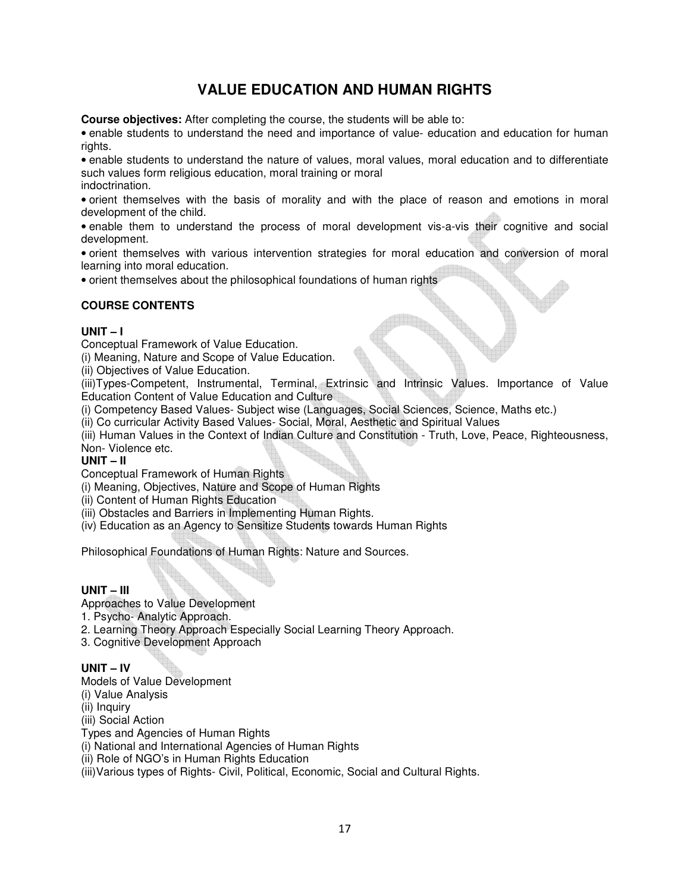# **VALUE EDUCATION AND HUMAN RIGHTS**

**Course objectives:** After completing the course, the students will be able to:

• enable students to understand the need and importance of value- education and education for human rights.

• enable students to understand the nature of values, moral values, moral education and to differentiate such values form religious education, moral training or moral indoctrination.

• orient themselves with the basis of morality and with the place of reason and emotions in moral development of the child.

• enable them to understand the process of moral development vis-a-vis their cognitive and social development.

• orient themselves with various intervention strategies for moral education and conversion of moral learning into moral education.

• orient themselves about the philosophical foundations of human rights

## **COURSE CONTENTS**

## **UNIT – I**

Conceptual Framework of Value Education.

(i) Meaning, Nature and Scope of Value Education.

(ii) Objectives of Value Education.

(iii)Types-Competent, Instrumental, Terminal, Extrinsic and Intrinsic Values. Importance of Value Education Content of Value Education and Culture

(i) Competency Based Values- Subject wise (Languages, Social Sciences, Science, Maths etc.)

(ii) Co curricular Activity Based Values- Social, Moral, Aesthetic and Spiritual Values

(iii) Human Values in the Context of Indian Culture and Constitution - Truth, Love, Peace, Righteousness, Non- Violence etc.

#### **UNIT – II**

Conceptual Framework of Human Rights

(i) Meaning, Objectives, Nature and Scope of Human Rights

(ii) Content of Human Rights Education

(iii) Obstacles and Barriers in Implementing Human Rights.

(iv) Education as an Agency to Sensitize Students towards Human Rights

Philosophical Foundations of Human Rights: Nature and Sources.

## **UNIT – III**

Approaches to Value Development

- 1. Psycho- Analytic Approach.
- 2. Learning Theory Approach Especially Social Learning Theory Approach.
- 3. Cognitive Development Approach

## **UNIT – IV**

Models of Value Development

(i) Value Analysis

(ii) Inquiry

(iii) Social Action

Types and Agencies of Human Rights

(i) National and International Agencies of Human Rights

(ii) Role of NGO's in Human Rights Education

(iii)Various types of Rights- Civil, Political, Economic, Social and Cultural Rights.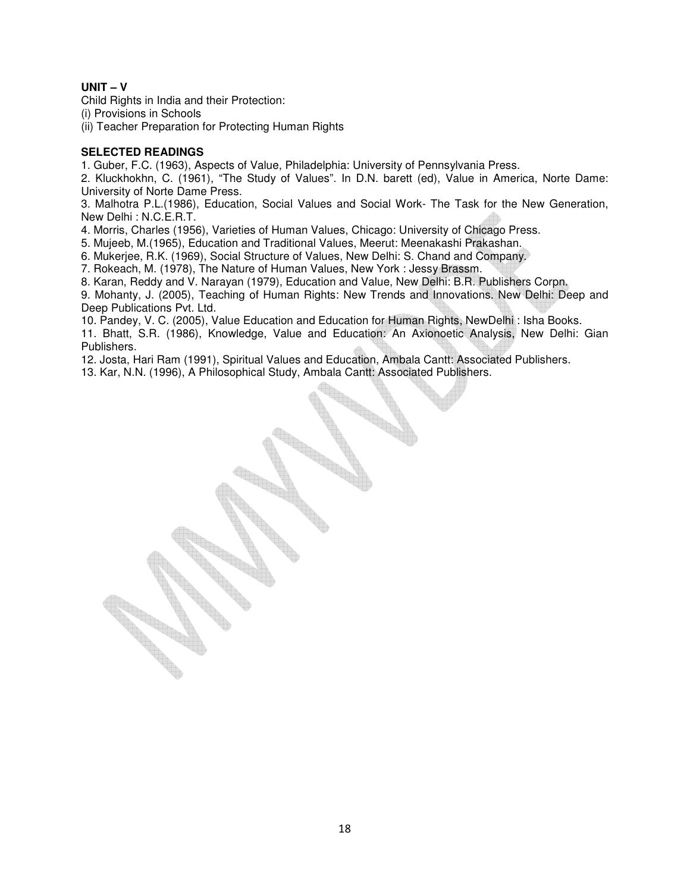## **UNIT – V**

Child Rights in India and their Protection:

(i) Provisions in Schools

(ii) Teacher Preparation for Protecting Human Rights

#### **SELECTED READINGS**

1. Guber, F.C. (1963), Aspects of Value, Philadelphia: University of Pennsylvania Press.

2. Kluckhokhn, C. (1961), "The Study of Values". In D.N. barett (ed), Value in America, Norte Dame: University of Norte Dame Press.

3. Malhotra P.L.(1986), Education, Social Values and Social Work- The Task for the New Generation, New Delhi : N.C.E.R.T.

4. Morris, Charles (1956), Varieties of Human Values, Chicago: University of Chicago Press.

5. Mujeeb, M.(1965), Education and Traditional Values, Meerut: Meenakashi Prakashan.

6. Mukerjee, R.K. (1969), Social Structure of Values, New Delhi: S. Chand and Company.

7. Rokeach, M. (1978), The Nature of Human Values, New York : Jessy Brassm.

8. Karan, Reddy and V. Narayan (1979), Education and Value, New Delhi: B.R. Publishers Corpn.

9. Mohanty, J. (2005), Teaching of Human Rights: New Trends and Innovations. New Delhi: Deep and Deep Publications Pvt. Ltd.

10. Pandey, V. C. (2005), Value Education and Education for Human Rights, NewDelhi : Isha Books.

11. Bhatt, S.R. (1986), Knowledge, Value and Education: An Axionoetic Analysis, New Delhi: Gian Publishers.

12. Josta, Hari Ram (1991), Spiritual Values and Education, Ambala Cantt: Associated Publishers.

13. Kar, N.N. (1996), A Philosophical Study, Ambala Cantt: Associated Publishers.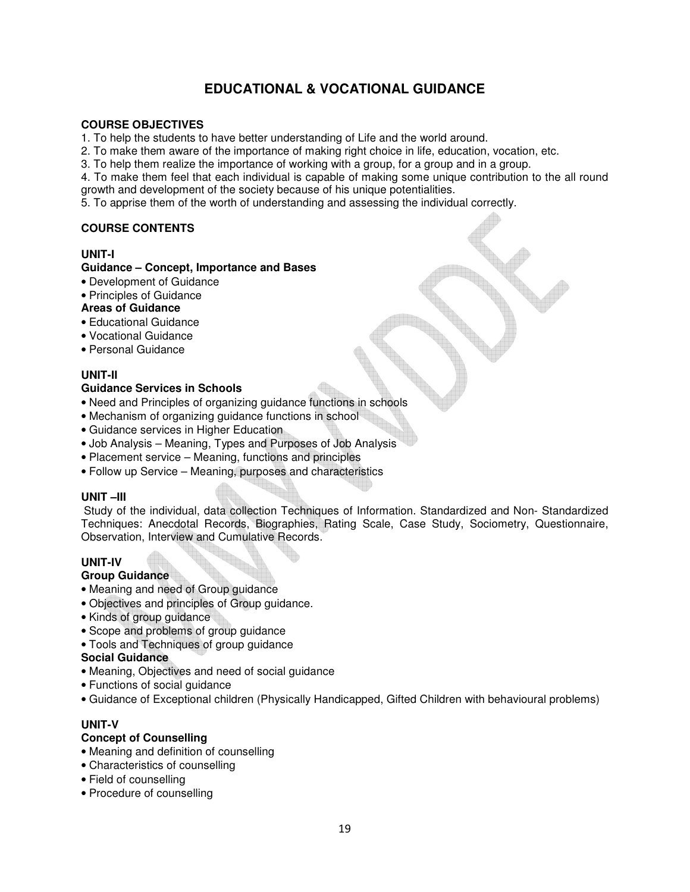## **EDUCATIONAL & VOCATIONAL GUIDANCE**

#### **COURSE OBJECTIVES**

- 1. To help the students to have better understanding of Life and the world around.
- 2. To make them aware of the importance of making right choice in life, education, vocation, etc.
- 3. To help them realize the importance of working with a group, for a group and in a group.
- 4. To make them feel that each individual is capable of making some unique contribution to the all round
- growth and development of the society because of his unique potentialities.
- 5. To apprise them of the worth of understanding and assessing the individual correctly.

## **COURSE CONTENTS**

#### **UNIT-I**

## **Guidance – Concept, Importance and Bases**

- Development of Guidance
- Principles of Guidance

#### **Areas of Guidance**

- Educational Guidance
- Vocational Guidance
- Personal Guidance

## **UNIT-II**

#### **Guidance Services in Schools**

- Need and Principles of organizing guidance functions in schools
- Mechanism of organizing guidance functions in school
- Guidance services in Higher Education
- Job Analysis Meaning, Types and Purposes of Job Analysis
- Placement service Meaning, functions and principles
- Follow up Service Meaning, purposes and characteristics

#### **UNIT –III**

Study of the individual, data collection Techniques of Information. Standardized and Non- Standardized Techniques: Anecdotal Records, Biographies, Rating Scale, Case Study, Sociometry, Questionnaire, Observation, Interview and Cumulative Records.

## **UNIT-IV**

#### **Group Guidance**

- Meaning and need of Group guidance
- Objectives and principles of Group guidance.
- Kinds of group guidance
- Scope and problems of group guidance
- Tools and Techniques of group guidance

#### **Social Guidance**

- Meaning, Objectives and need of social guidance
- Functions of social guidance
- Guidance of Exceptional children (Physically Handicapped, Gifted Children with behavioural problems)

## **UNIT-V**

## **Concept of Counselling**

- Meaning and definition of counselling
- Characteristics of counselling
- Field of counselling
- Procedure of counselling